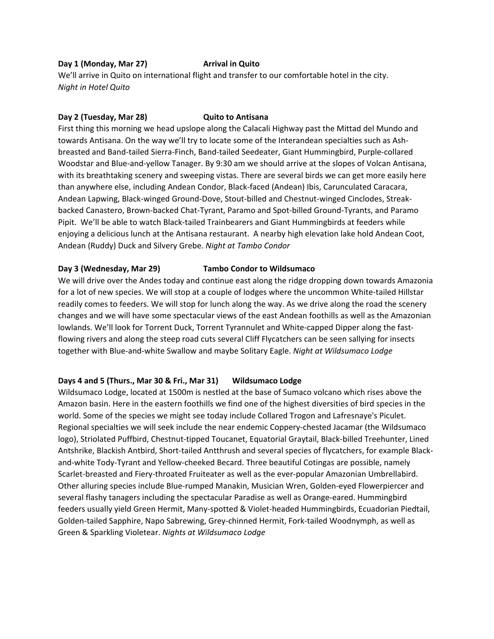### **Day 1 (Monday, Mar 27) <b>Arrival in Quito**

We'll arrive in Quito on international flight and transfer to our comfortable hotel in the city. *Night in Hotel Quito*

#### **Day 2 (Tuesday, Mar 28) Quito to Antisana**

First thing this morning we head upslope along the Calacali Highway past the Mittad del Mundo and towards Antisana. On the way we'll try to locate some of the Interandean specialties such as Ashbreasted and Band-tailed Sierra-Finch, Band-tailed Seedeater, Giant Hummingbird, Purple-collared Woodstar and Blue-and-yellow Tanager. By 9:30 am we should arrive at the slopes of Volcan Antisana, with its breathtaking scenery and sweeping vistas. There are several birds we can get more easily here than anywhere else, including Andean Condor, Black-faced (Andean) Ibis, Carunculated Caracara, Andean Lapwing, Black-winged Ground-Dove, Stout-billed and Chestnut-winged Cinclodes, Streakbacked Canastero, Brown-backed Chat-Tyrant, Paramo and Spot-billed Ground-Tyrants, and Paramo Pipit. We'll be able to watch Black-tailed Trainbearers and Giant Hummingbirds at feeders while enjoying a delicious lunch at the Antisana restaurant. A nearby high elevation lake hold Andean Coot, Andean (Ruddy) Duck and Silvery Grebe. *Night at Tambo Condor*

## **Day 3 (Wednesday, Mar 29) Tambo Condor to Wildsumaco**

We will drive over the Andes today and continue east along the ridge dropping down towards Amazonia for a lot of new species. We will stop at a couple of lodges where the uncommon White-tailed Hillstar readily comes to feeders. We will stop for lunch along the way. As we drive along the road the scenery changes and we will have some spectacular views of the east Andean foothills as well as the Amazonian lowlands. We'll look for Torrent Duck, Torrent Tyrannulet and White-capped Dipper along the fastflowing rivers and along the steep road cuts several Cliff Flycatchers can be seen sallying for insects together with Blue-and-white Swallow and maybe Solitary Eagle. *Night at Wildsumaco Lodge*

## **Days 4 and 5 (Thurs., Mar 30 & Fri., Mar 31) Wildsumaco Lodge**

Wildsumaco Lodge, located at 1500m is nestled at the base of Sumaco volcano which rises above the Amazon basin. Here in the eastern foothills we find one of the highest diversities of bird species in the world. Some of the species we might see today include Collared Trogon and Lafresnaye's Piculet. Regional specialties we will seek include the near endemic Coppery-chested Jacamar (the Wildsumaco logo), Striolated Puffbird, Chestnut-tipped Toucanet, Equatorial Graytail, Black-billed Treehunter, Lined Antshrike, Blackish Antbird, Short-tailed Antthrush and several species of flycatchers, for example Blackand-white Tody-Tyrant and Yellow-cheeked Becard. Three beautiful Cotingas are possible, namely Scarlet-breasted and Fiery-throated Fruiteater as well as the ever-popular Amazonian Umbrellabird. Other alluring species include Blue-rumped Manakin, Musician Wren, Golden-eyed Flowerpiercer and several flashy tanagers including the spectacular Paradise as well as Orange-eared. Hummingbird feeders usually yield Green Hermit, Many-spotted & Violet-headed Hummingbirds, Ecuadorian Piedtail, Golden-tailed Sapphire, Napo Sabrewing, Grey-chinned Hermit, Fork-tailed Woodnymph, as well as Green & Sparkling Violetear. *Nights at Wildsumaco Lodge*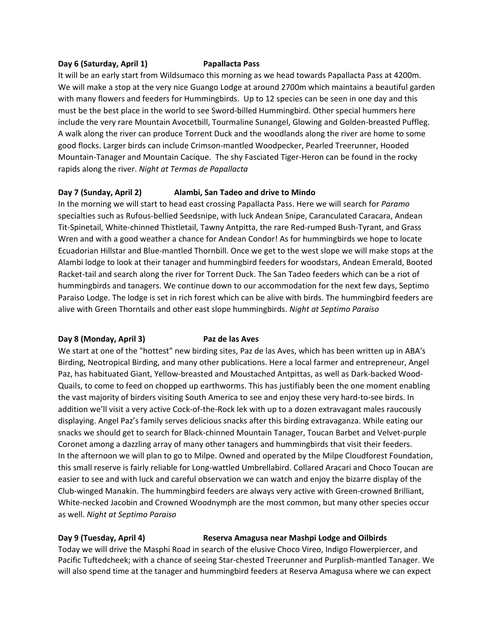#### **Day 6 (Saturday, April 1) Papallacta Pass**

It will be an early start from Wildsumaco this morning as we head towards Papallacta Pass at 4200m. We will make a stop at the very nice Guango Lodge at around 2700m which maintains a beautiful garden with many flowers and feeders for Hummingbirds. Up to 12 species can be seen in one day and this must be the best place in the world to see Sword-billed Hummingbird. Other special hummers here include the very rare Mountain Avocetbill, Tourmaline Sunangel, Glowing and Golden-breasted Puffleg. A walk along the river can produce Torrent Duck and the woodlands along the river are home to some good flocks. Larger birds can include Crimson-mantled Woodpecker, Pearled Treerunner, Hooded Mountain-Tanager and Mountain Cacique. The shy Fasciated Tiger-Heron can be found in the rocky rapids along the river. *Night at Termas de Papallacta*

#### **Day 7 (Sunday, April 2) Alambi, San Tadeo and drive to Mindo**

In the morning we will start to head east crossing Papallacta Pass. Here we will search for *Paramo* specialties such as Rufous-bellied Seedsnipe, with luck Andean Snipe, Caranculated Caracara, Andean Tit-Spinetail, White-chinned Thistletail, Tawny Antpitta, the rare Red-rumped Bush-Tyrant, and Grass Wren and with a good weather a chance for Andean Condor! As for hummingbirds we hope to locate Ecuadorian Hillstar and Blue-mantled Thornbill. Once we get to the west slope we will make stops at the Alambi lodge to look at their tanager and hummingbird feeders for woodstars, Andean Emerald, Booted Racket-tail and search along the river for Torrent Duck. The San Tadeo feeders which can be a riot of hummingbirds and tanagers. We continue down to our accommodation for the next few days, Septimo Paraiso Lodge. The lodge is set in rich forest which can be alive with birds. The hummingbird feeders are alive with Green Thorntails and other east slope hummingbirds. *Night at Septimo Paraiso*

#### **Day 8 (Monday, April 3) Paz de las Aves**

We start at one of the "hottest" new birding sites, Paz de las Aves, which has been written up in ABA's Birding, Neotropical Birding, and many other publications. Here a local farmer and entrepreneur, Angel Paz, has habituated Giant, Yellow-breasted and Moustached Antpittas, as well as Dark-backed Wood-Quails, to come to feed on chopped up earthworms. This has justifiably been the one moment enabling the vast majority of birders visiting South America to see and enjoy these very hard-to-see birds. In addition we'll visit a very active Cock-of-the-Rock lek with up to a dozen extravagant males raucously displaying. Angel Paz's family serves delicious snacks after this birding extravaganza. While eating our snacks we should get to search for Black-chinned Mountain Tanager, Toucan Barbet and Velvet-purple Coronet among a dazzling array of many other tanagers and hummingbirds that visit their feeders. In the afternoon we will plan to go to Milpe. Owned and operated by the Milpe Cloudforest Foundation, this small reserve is fairly reliable for Long-wattled Umbrellabird. Collared Aracari and Choco Toucan are easier to see and with luck and careful observation we can watch and enjoy the bizarre display of the Club-winged Manakin. The hummingbird feeders are always very active with Green-crowned Brilliant, White-necked Jacobin and Crowned Woodnymph are the most common, but many other species occur as well. *Night at Septimo Paraiso*

#### **Day 9 (Tuesday, April 4) Reserva Amagusa near Mashpi Lodge and Oilbirds**

Today we will drive the Masphi Road in search of the elusive Choco Vireo, Indigo Flowerpiercer, and Pacific Tuftedcheek; with a chance of seeing Star-chested Treerunner and Purplish-mantled Tanager. We will also spend time at the tanager and hummingbird feeders at Reserva Amagusa where we can expect